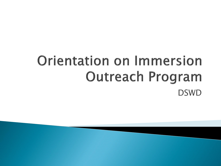## **Orientation on Immersion Outreach Program DSWD**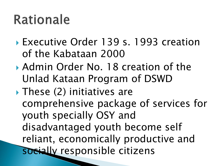### **Rationale**

- Executive Order 139 s. 1993 creation of the Kabataan 2000
- Admin Order No. 18 creation of the Unlad Kataan Program of DSWD
- $\blacktriangleright$  These (2) initiatives are comprehensive package of services for youth specially OSY and disadvantaged youth become self reliant, economically productive and socially responsible citizens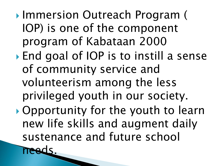- ▶ Immersion Outreach Program ( IOP) is one of the component program of Kabataan 2000
- End goal of IOP is to instill a sense of community service and volunteerism among the less privileged youth in our society.
- Opportunity for the youth to learn new life skills and augment daily sustenance and future school ads.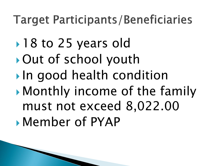#### **Target Participants/Beneficiaries**

- ▶ 18 to 25 years old
- Out of school youth
- In good health condition
- Monthly income of the family must not exceed 8,022.00 Member of PYAP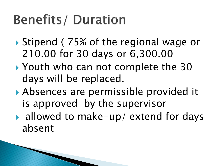# **Benefits/Duration**

- ▶ Stipend ( 75% of the regional wage or 210.00 for 30 days or 6,300.00
- ▶ Youth who can not complete the 30 days will be replaced.
- Absences are permissible provided it is approved by the supervisor
- ▶ allowed to make-up/ extend for days absent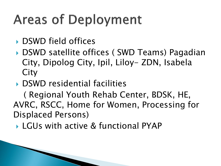# **Areas of Deployment**

- DSWD field offices
- ▶ DSWD satellite offices ( SWD Teams) Pagadian City, Dipolog City, Ipil, Liloy- ZDN, Isabela **City**
- ▶ DSWD residential facilities

 ( Regional Youth Rehab Center, BDSK, HE, AVRC, RSCC, Home for Women, Processing for Displaced Persons)

▶ LGUs with active & functional PYAP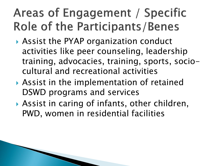### Areas of Engagement / Specific Role of the Participants/Benes

- Assist the PYAP organization conduct activities like peer counseling, leadership training, advocacies, training, sports, sociocultural and recreational activities
- Assist in the implementation of retained DSWD programs and services
- Assist in caring of infants, other children, PWD, women in residential facilities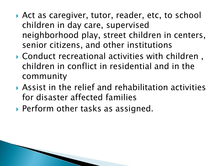- ▶ Act as caregiver, tutor, reader, etc, to school children in day care, supervised neighborhood play, street children in centers, senior citizens, and other institutions
- Conduct recreational activities with children , children in conflict in residential and in the community
- Assist in the relief and rehabilitation activities for disaster affected families
- ▶ Perform other tasks as assigned.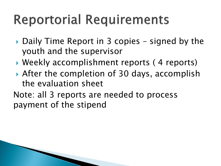# **Reportorial Requirements**

- ▶ Daily Time Report in 3 copies signed by the youth and the supervisor
- Weekly accomplishment reports ( 4 reports)
- ▶ After the completion of 30 days, accomplish the evaluation sheet
- Note: all 3 reports are needed to process payment of the stipend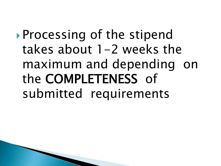### Processing of the stipend takes about  $1-2$  weeks the maximum and depending on the COMPLETENESS of submitted requirements